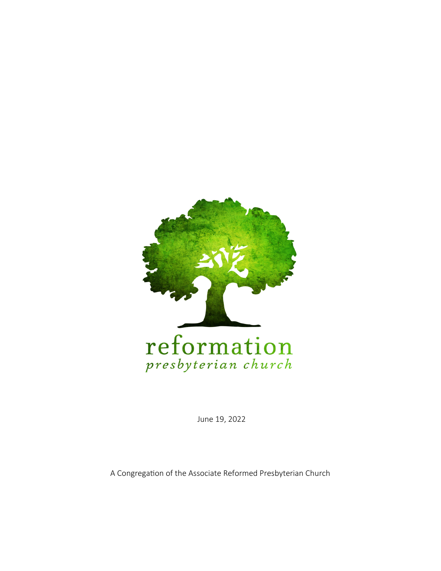

June 19, 2022

A Congregation of the Associate Reformed Presbyterian Church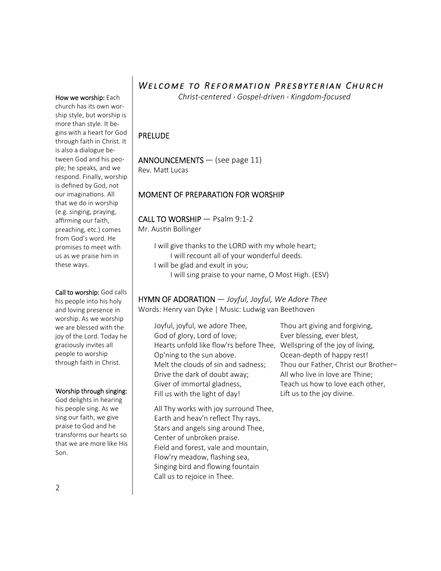# WELCOME TO REFORMATION PRESBYTERIAN CHURCH

*Christ-centered · Gospel-driven · Kingdom-focused* 

### PRELUDE

### ANNOUNCEMENTS — (see page 11)

Rev. Matt Lucas

### MOMENT OF PREPARATION FOR WORSHIP

### CALL TO WORSHIP — Psalm 9:1-2 Mr. Austin Bollinger

I will give thanks to the LORD with my whole heart; I will recount all of your wonderful deeds. I will be glad and exult in you; I will sing praise to your name, O Most High. (ESV)

# HYMN OF ADORATION — *Joyful, Joyful, We Adore Thee*

Words: Henry van Dyke | Music: Ludwig van Beethoven

Joyful, joyful, we adore Thee, God of glory, Lord of love; Hearts unfold like flow'rs before Thee, Wellspring of the joy of living, Op'ning to the sun above. Melt the clouds of sin and sadness; Drive the dark of doubt away; Giver of immortal gladness, Fill us with the light of day!

All Thy works with joy surround Thee, Earth and heav'n reflect Thy rays, Stars and angels sing around Thee, Center of unbroken praise. Field and forest, vale and mountain, Flow'ry meadow, flashing sea, Singing bird and flowing fountain Call us to rejoice in Thee.

Thou art giving and forgiving, Ever blessing, ever blest, Ocean-depth of happy rest! Thou our Father, Christ our Brother– All who live in love are Thine; Teach us how to love each other, Lift us to the joy divine.

How we worship: Each church has its own worship style, but worship is more than style. It begins with a heart for God through faith in Christ. It is also a dialogue between God and his people; he speaks, and we respond. Finally, worship is defined by God, not our imaginations. All that we do in worship (e.g. singing, praying, affirming our faith, preaching, etc.) comes from God's word. He promises to meet with us as we praise him in these ways.

#### Call to worship: God calls his people into his holy and loving presence in worship. As we worship we are blessed with the joy of the Lord. Today he graciously invites all people to worship

### Worship through singing:

through faith in Christ.

God delights in hearing his people sing. As we sing our faith, we give praise to God and he transforms our hearts so that we are more like His Son.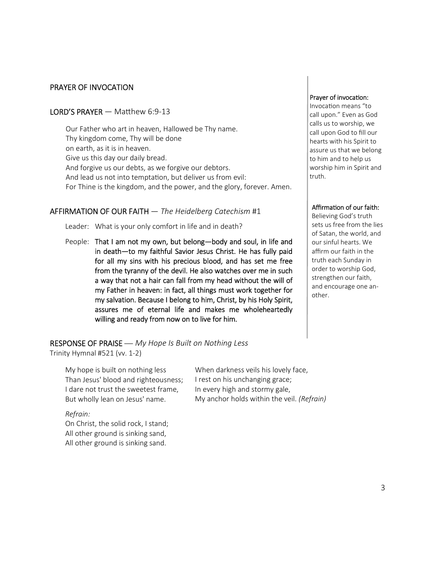### PRAYER OF INVOCATION

### **LORD'S PRAYER**  $-$  Matthew 6:9-13

Our Father who art in heaven, Hallowed be Thy name. Thy kingdom come, Thy will be done on earth, as it is in heaven. Give us this day our daily bread. And forgive us our debts, as we forgive our debtors. And lead us not into temptation, but deliver us from evil: For Thine is the kingdom, and the power, and the glory, forever. Amen.

### AFFIRMATION OF OUR FAITH — *The Heidelberg Catechism* #1

Leader: What is your only comfort in life and in death?

People: That I am not my own, but belong-body and soul, in life and in death—to my faithful Savior Jesus Christ. He has fully paid for all my sins with his precious blood, and has set me free from the tyranny of the devil. He also watches over me in such a way that not a hair can fall from my head without the will of my Father in heaven: in fact, all things must work together for my salvation. Because I belong to him, Christ, by his Holy Spirit, assures me of eternal life and makes me wholeheartedly willing and ready from now on to live for him.

#### RESPONSE OF PRAISE — *My Hope Is Built on Nothing Less*

Trinity Hymnal #521 (vv. 1-2)

My hope is built on nothing less Than Jesus' blood and righteousness; I dare not trust the sweetest frame, But wholly lean on Jesus' name.

#### *Refrain:*

On Christ, the solid rock, I stand; All other ground is sinking sand, All other ground is sinking sand.

When darkness veils his lovely face, I rest on his unchanging grace; In every high and stormy gale, My anchor holds within the veil. *(Refrain)*

#### Prayer of invocation:

Invocation means "to call upon." Even as God calls us to worship, we call upon God to fill our hearts with his Spirit to assure us that we belong to him and to help us worship him in Spirit and truth.

#### Affirmation of our faith:

Believing God's truth sets us free from the lies of Satan, the world, and our sinful hearts. We affirm our faith in the truth each Sunday in order to worship God, strengthen our faith, and encourage one another.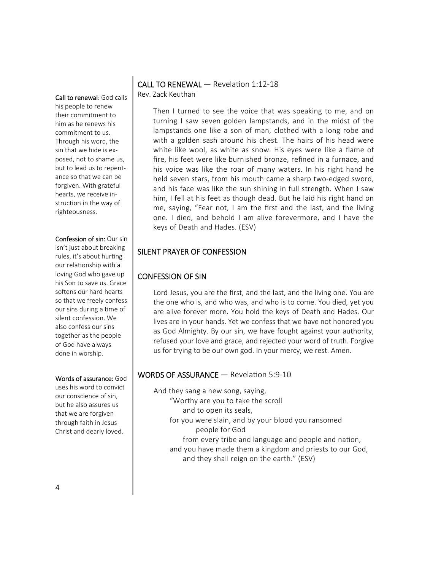Call to renewal: God calls his people to renew their commitment to him as he renews his commitment to us. Through his word, the sin that we hide is exposed, not to shame us, but to lead us to repentance so that we can be forgiven. With grateful hearts, we receive instruction in the way of righteousness.

### Confession of sin: Our sin

isn't just about breaking rules, it's about hurting our relationship with a loving God who gave up his Son to save us. Grace softens our hard hearts so that we freely confess our sins during a time of silent confession. We also confess our sins together as the people of God have always done in worship.

#### Words of assurance: God

uses his word to convict our conscience of sin, but he also assures us that we are forgiven through faith in Jesus Christ and dearly loved.

## CALL TO RENEWAL - Revelation 1:12-18

Rev. Zack Keuthan

Then I turned to see the voice that was speaking to me, and on turning I saw seven golden lampstands, and in the midst of the lampstands one like a son of man, clothed with a long robe and with a golden sash around his chest. The hairs of his head were white like wool, as white as snow. His eyes were like a flame of fire, his feet were like burnished bronze, refined in a furnace, and his voice was like the roar of many waters. In his right hand he held seven stars, from his mouth came a sharp two-edged sword, and his face was like the sun shining in full strength. When I saw him, I fell at his feet as though dead. But he laid his right hand on me, saying, "Fear not, I am the first and the last, and the living one. I died, and behold I am alive forevermore, and I have the keys of Death and Hades. (ESV)

### SILENT PRAYER OF CONFESSION

### CONFESSION OF SIN

Lord Jesus, you are the first, and the last, and the living one. You are the one who is, and who was, and who is to come. You died, yet you are alive forever more. You hold the keys of Death and Hades. Our lives are in your hands. Yet we confess that we have not honored you as God Almighty. By our sin, we have fought against your authority, refused your love and grace, and rejected your word of truth. Forgive us for trying to be our own god. In your mercy, we rest. Amen.

### WORDS OF ASSURANCE - Revelation 5:9-10

- And they sang a new song, saying,
	- "Worthy are you to take the scroll
		- and to open its seals,
		- for you were slain, and by your blood you ransomed people for God
- from every tribe and language and people and nation, and you have made them a kingdom and priests to our God, and they shall reign on the earth." (ESV)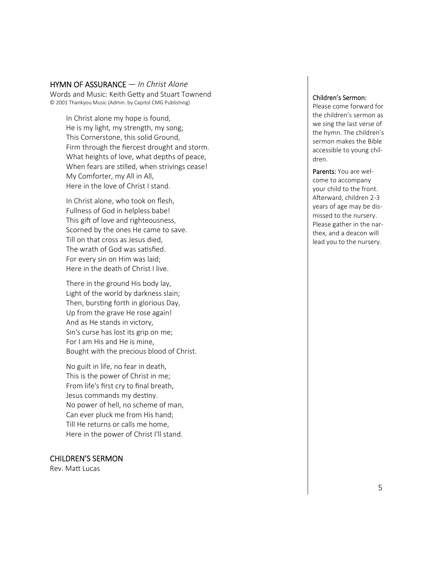#### HYMN OF ASSURANCE — *In Christ Alone*

Words and Music: Keith Getty and Stuart Townend © 2001 Thankyou Music (Admin. by Capitol CMG Publishing)

In Christ alone my hope is found, He is my light, my strength, my song; This Cornerstone, this solid Ground, Firm through the fiercest drought and storm. What heights of love, what depths of peace, When fears are stilled, when strivings cease! My Comforter, my All in All, Here in the love of Christ I stand.

In Christ alone, who took on flesh, Fullness of God in helpless babe! This gift of love and righteousness, Scorned by the ones He came to save. Till on that cross as Jesus died, The wrath of God was satisfied. For every sin on Him was laid; Here in the death of Christ I live.

There in the ground His body lay, Light of the world by darkness slain; Then, bursting forth in glorious Day, Up from the grave He rose again! And as He stands in victory, Sin's curse has lost its grip on me; For I am His and He is mine, Bought with the precious blood of Christ.

No guilt in life, no fear in death, This is the power of Christ in me; From life's first cry to final breath, Jesus commands my destiny. No power of hell, no scheme of man, Can ever pluck me from His hand; Till He returns or calls me home, Here in the power of Christ I'll stand.

### CHILDREN 'S SERMON

Rev. Matt Lucas

#### Children 's Sermon:

Please come forward for the children's sermon as we sing the last verse of the hymn. The children's sermon makes the Bible accessible to young children.

Parents: You are welcome to accompany your child to the front. AFerward, children 2-3 years of age may be dismissed to the nursery. Please gather in the narthex, and a deacon will lead you to the nursery.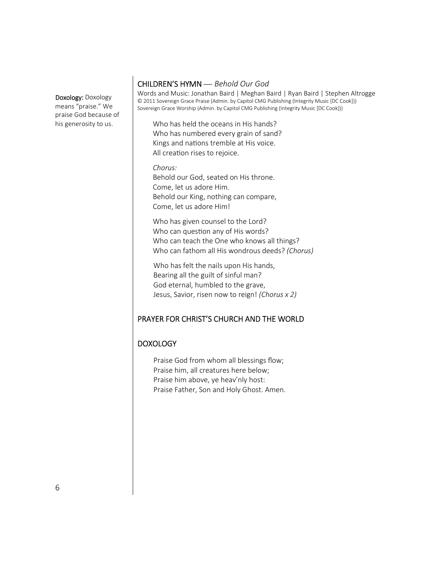Doxology: Doxology means "praise." We praise God because of his generosity to us.

### CHILDREN'S HYMN — *Behold Our God*

Words and Music: Jonathan Baird | Meghan Baird | Ryan Baird | Stephen Altrogge © 2011 Sovereign Grace Praise (Admin. by Capitol CMG Publishing (Integrity Music [DC Cook])) Sovereign Grace Worship (Admin. by Capitol CMG Publishing (Integrity Music [DC Cook]))

Who has held the oceans in His hands? Who has numbered every grain of sand? Kings and nations tremble at His voice. All creation rises to rejoice.

*Chorus:* Behold our God, seated on His throne. Come, let us adore Him. Behold our King, nothing can compare, Come, let us adore Him!

Who has given counsel to the Lord? Who can question any of His words? Who can teach the One who knows all things? Who can fathom all His wondrous deeds? *(Chorus)* 

Who has felt the nails upon His hands, Bearing all the guilt of sinful man? God eternal, humbled to the grave, Jesus, Savior, risen now to reign! *(Chorus x 2)*

### PRAYER FOR CHRIST'S CHURCH AND THE WORLD

### DOXOLOGY

Praise God from whom all blessings flow; Praise him, all creatures here below; Praise him above, ye heav'nly host: Praise Father, Son and Holy Ghost. Amen.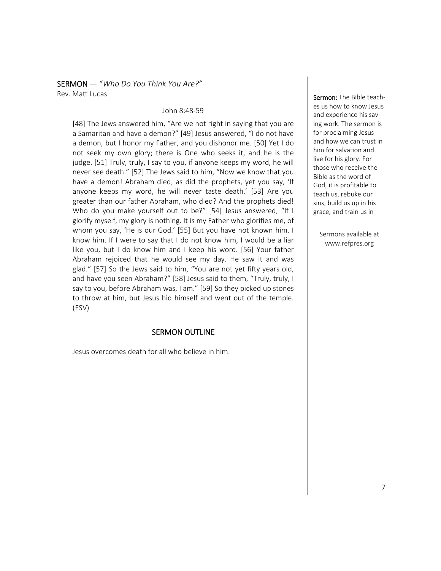SERMON — "*Who Do You Think You Are?"*  Rev. Matt Lucas

#### John 8:48-59

[48] The Jews answered him, "Are we not right in saying that you are a Samaritan and have a demon?" [49] Jesus answered, "I do not have a demon, but I honor my Father, and you dishonor me. [50] Yet I do not seek my own glory; there is One who seeks it, and he is the judge. [51] Truly, truly, I say to you, if anyone keeps my word, he will never see death." [52] The Jews said to him, "Now we know that you have a demon! Abraham died, as did the prophets, yet you say, 'If anyone keeps my word, he will never taste death.' [53] Are you greater than our father Abraham, who died? And the prophets died! Who do you make yourself out to be?" [54] Jesus answered, "If I glorify myself, my glory is nothing. It is my Father who glorifies me, of whom you say, 'He is our God.' [55] But you have not known him. I know him. If I were to say that I do not know him, I would be a liar like you, but I do know him and I keep his word. [56] Your father Abraham rejoiced that he would see my day. He saw it and was glad." [57] So the Jews said to him, "You are not yet fifty years old, and have you seen Abraham?" [58] Jesus said to them, "Truly, truly, I say to you, before Abraham was, I am." [59] So they picked up stones to throw at him, but Jesus hid himself and went out of the temple. (ESV)

### SERMON OUTLINE

Jesus overcomes death for all who believe in him.

Sermon: The Bible teaches us how to know Jesus and experience his saving work. The sermon is for proclaiming Jesus and how we can trust in him for salvation and live for his glory. For those who receive the Bible as the word of God, it is profitable to teach us, rebuke our sins, build us up in his grace, and train us in

Sermons available at www.refpres.org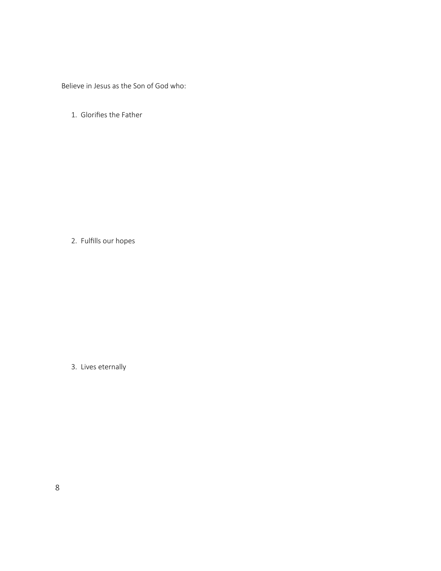Believe in Jesus as the Son of God who:

1. Glorifies the Father

2. Fulfills our hopes

3. Lives eternally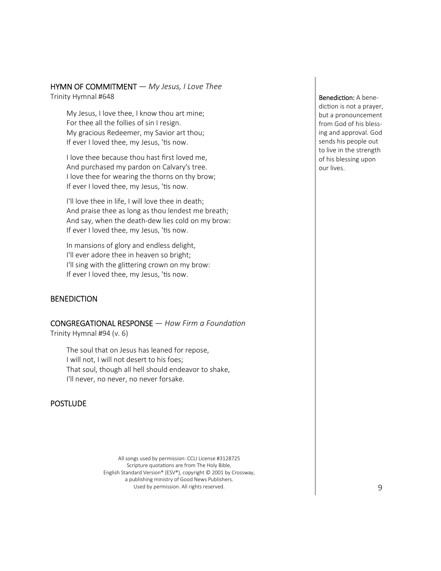#### HYMN OF COMMITMENT — *My Jesus, I Love Thee*  Trinity Hymnal #648

My Jesus, I love thee, I know thou art mine; For thee all the follies of sin I resign. My gracious Redeemer, my Savior art thou; If ever I loved thee, my Jesus, 'tis now.

I love thee because thou hast first loved me, And purchased my pardon on Calvary's tree. I love thee for wearing the thorns on thy brow; If ever I loved thee, my Jesus, 'tis now.

I'll love thee in life, I will love thee in death; And praise thee as long as thou lendest me breath; And say, when the death-dew lies cold on my brow: If ever I loved thee, my Jesus, 'tis now.

In mansions of glory and endless delight, I'll ever adore thee in heaven so bright; I'll sing with the glittering crown on my brow: If ever I loved thee, my Jesus, 'tis now.

### **BENEDICTION**

**CONGREGATIONAL RESPONSE** — *How Firm a Foundation* 

Trinity Hymnal #94 (v. 6)

The soul that on Jesus has leaned for repose, I will not, I will not desert to his foes; That soul, though all hell should endeavor to shake, I'll never, no never, no never forsake.

### **POSTLUDE**

All songs used by permission: CCLI License #3128725 Scripture quotations are from The Holy Bible, English Standard Version® (ESV®), copyright © 2001 by Crossway, a publishing ministry of Good News Publishers. Used by permission. All rights reserved.

Benediction: A benediction is not a prayer, but a pronouncement from God of his blessing and approval. God sends his people out to live in the strength of his blessing upon our lives.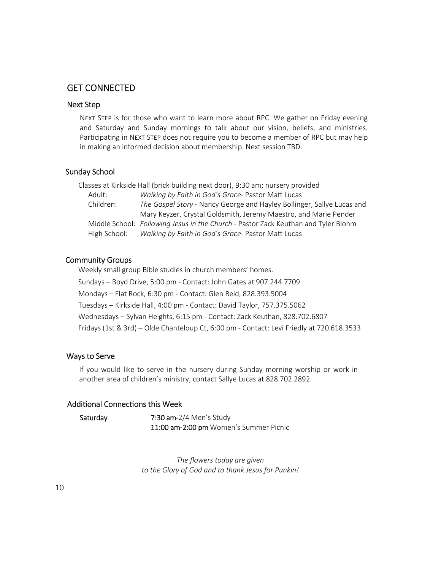### GET CONNECTED

### Next Step

NEXT STEP is for those who want to learn more about RPC. We gather on Friday evening and Saturday and Sunday mornings to talk about our vision, beliefs, and ministries. Participating in NEXT STEP does not require you to become a member of RPC but may help in making an informed decision about membership. Next session TBD.

#### Sunday School

Classes at Kirkside Hall (brick building next door), 9:30 am; nursery provided Adult: *Walking by Faith in God's Grace- Pastor Matt Lucas* Children: *The Gospel Story* - Nancy George and Hayley Bollinger, Sallye Lucas and Mary Keyzer, Crystal Goldsmith, Jeremy Maestro, and Marie Pender Middle School: *Following Jesus in the Church* - Pastor Zack Keuthan and Tyler Blohm High School: Walking by Faith in God's Grace- Pastor Matt Lucas

#### Community Groups

Weekly small group Bible studies in church members' homes. Sundays – Boyd Drive, 5:00 pm - Contact: John Gates at 907.244.7709 Mondays – Flat Rock, 6:30 pm - Contact: Glen Reid, 828.393.5004 Tuesdays – Kirkside Hall, 4:00 pm - Contact: David Taylor, 757.375.5062 Wednesdays – Sylvan Heights, 6:15 pm - Contact: Zack Keuthan, 828.702.6807 Fridays (1st & 3rd) – Olde Chanteloup Ct, 6:00 pm - Contact: Levi Friedly at 720.618.3533

### Ways to Serve

If you would like to serve in the nursery during Sunday morning worship or work in another area of children's ministry, contact Sallye Lucas at 828.702.2892.

#### Additional Connections this Week

Saturday 7:30 am-2/4 Men's Study 11:00 am-2:00 pm Women's Summer Picnic

> *The flowers today are given to the Glory of God and to thank Jesus for Punkin!*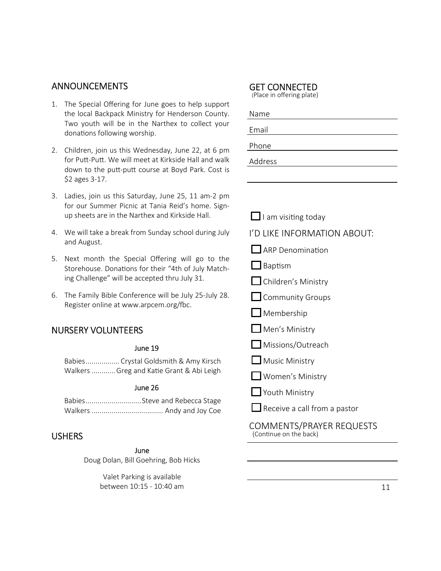### ANNOUNCEMENTS

- 1. The Special Offering for June goes to help support the local Backpack Ministry for Henderson County. Two youth will be in the Narthex to collect your donations following worship.
- 2. Children, join us this Wednesday, June 22, at 6 pm for Putt-Putt. We will meet at Kirkside Hall and walk down to the putt-putt course at Boyd Park. Cost is \$2 ages 3-17.
- 3. Ladies, join us this Saturday, June 25, 11 am-2 pm for our Summer Picnic at Tania Reid's home. Signup sheets are in the Narthex and Kirkside Hall.
- 4. We will take a break from Sunday school during July and August.
- 5. Next month the Special Offering will go to the Storehouse. Donations for their "4th of July Matching Challenge" will be accepted thru July 31.
- 6. The Family Bible Conference will be July 25-July 28. Register online at www.arpcem.org/fbc.

### NURSERY VOLUNTEERS

#### June 19

Babies ................. Crystal Goldsmith & Amy Kirsch Walkers ............ Greg and Katie Grant & Abi Leigh

#### June 26

| BabiesSteve and Rebecca Stage |
|-------------------------------|
|                               |

### **USHERS**

June

Doug Dolan, Bill Goehring, Bob Hicks

Valet Parking is available between 10:15 - 10:40 am

### GET CONNECTED

(Place in offering plate)

| Name    |  |  |
|---------|--|--|
| Email   |  |  |
| Phone   |  |  |
| Address |  |  |

I am visi ng today I'D LIKE INFORMATION ABOUT:

ARP Denomination

- **Baptism**
- $\Box$  Children's Ministry
- Community Groups
- $\Box$  Membership
- $\Box$  Men's Ministry
- **Missions/Outreach**
- $\Box$  Music Ministry
- Women's Ministry
- **Ninistry**

i<br>I

Receive a call from a pastor

COMMENTS/PRAYER REQUESTS (Continue on the back)  $\overline{a}$